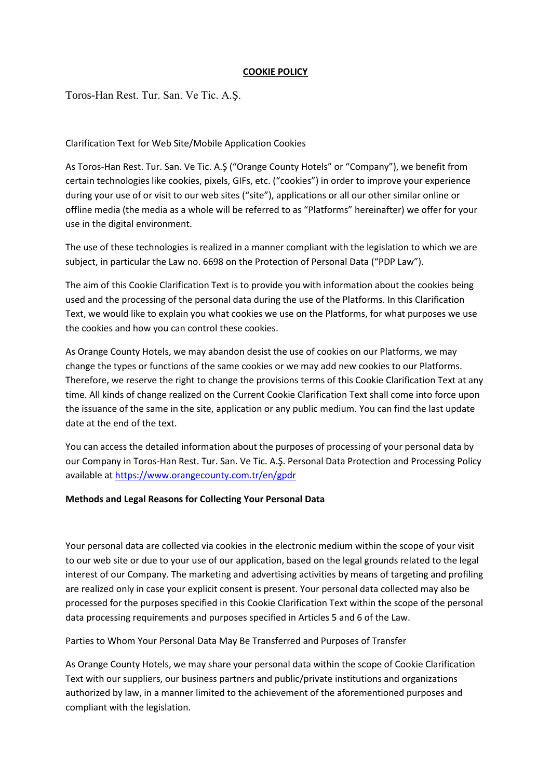## **COOKIE POLICY**

Toros-Han Rest. Tur. San. Ve Tic. A.Ş.

### Clarification Text for Web Site/Mobile Application Cookies

As Toros-Han Rest. Tur. San. Ve Tic. A.Ş ("Orange County Hotels" or "Company"), we benefit from certain technologies like cookies, pixels, GIFs, etc. ("cookies") in order to improve your experience during your use of or visit to our web sites ("site"), applications or all our other similar online or offline media (the media as a whole will be referred to as "Platforms" hereinafter) we offer for your use in the digital environment.

The use of these technologies is realized in a manner compliant with the legislation to which we are subject, in particular the Law no. 6698 on the Protection of Personal Data ("PDP Law").

The aim of this Cookie Clarification Text is to provide you with information about the cookies being used and the processing of the personal data during the use of the Platforms. In this Clarification Text, we would like to explain you what cookies we use on the Platforms, for what purposes we use the cookies and how you can control these cookies.

As Orange County Hotels, we may abandon desist the use of cookies on our Platforms, we may change the types or functions of the same cookies or we may add new cookies to our Platforms. Therefore, we reserve the right to change the provisions terms of this Cookie Clarification Text at any time. All kinds of change realized on the Current Cookie Clarification Text shall come into force upon the issuance of the same in the site, application or any public medium. You can find the last update date at the end of the text.

You can access the detailed information about the purposes of processing of your personal data by our Company in Toros-Han Rest. Tur. San. Ve Tic. A.Ş. Personal Data Protection and Processing Policy available at<https://www.orangecounty.com.tr/en/gpdr>

### **Methods and Legal Reasons for Collecting Your Personal Data**

Your personal data are collected via cookies in the electronic medium within the scope of your visit to our web site or due to your use of our application, based on the legal grounds related to the legal interest of our Company. The marketing and advertising activities by means of targeting and profiling are realized only in case your explicit consent is present. Your personal data collected may also be processed for the purposes specified in this Cookie Clarification Text within the scope of the personal data processing requirements and purposes specified in Articles 5 and 6 of the Law.

Parties to Whom Your Personal Data May Be Transferred and Purposes of Transfer

As Orange County Hotels, we may share your personal data within the scope of Cookie Clarification Text with our suppliers, our business partners and public/private institutions and organizations authorized by law, in a manner limited to the achievement of the aforementioned purposes and compliant with the legislation.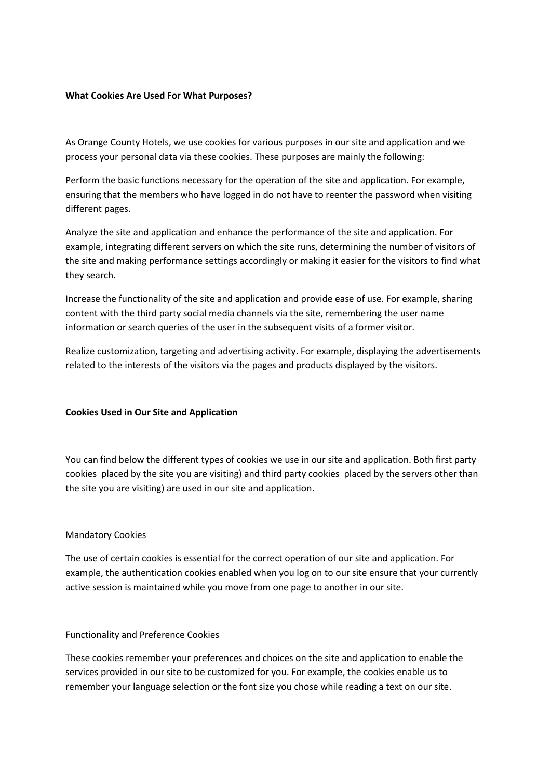### **What Cookies Are Used For What Purposes?**

As Orange County Hotels, we use cookies for various purposes in our site and application and we process your personal data via these cookies. These purposes are mainly the following:

Perform the basic functions necessary for the operation of the site and application. For example, ensuring that the members who have logged in do not have to reenter the password when visiting different pages.

Analyze the site and application and enhance the performance of the site and application. For example, integrating different servers on which the site runs, determining the number of visitors of the site and making performance settings accordingly or making it easier for the visitors to find what they search.

Increase the functionality of the site and application and provide ease of use. For example, sharing content with the third party social media channels via the site, remembering the user name information or search queries of the user in the subsequent visits of a former visitor.

Realize customization, targeting and advertising activity. For example, displaying the advertisements related to the interests of the visitors via the pages and products displayed by the visitors.

### **Cookies Used in Our Site and Application**

You can find below the different types of cookies we use in our site and application. Both first party cookies placed by the site you are visiting) and third party cookies placed by the servers other than the site you are visiting) are used in our site and application.

### Mandatory Cookies

The use of certain cookies is essential for the correct operation of our site and application. For example, the authentication cookies enabled when you log on to our site ensure that your currently active session is maintained while you move from one page to another in our site.

### Functionality and Preference Cookies

These cookies remember your preferences and choices on the site and application to enable the services provided in our site to be customized for you. For example, the cookies enable us to remember your language selection or the font size you chose while reading a text on our site.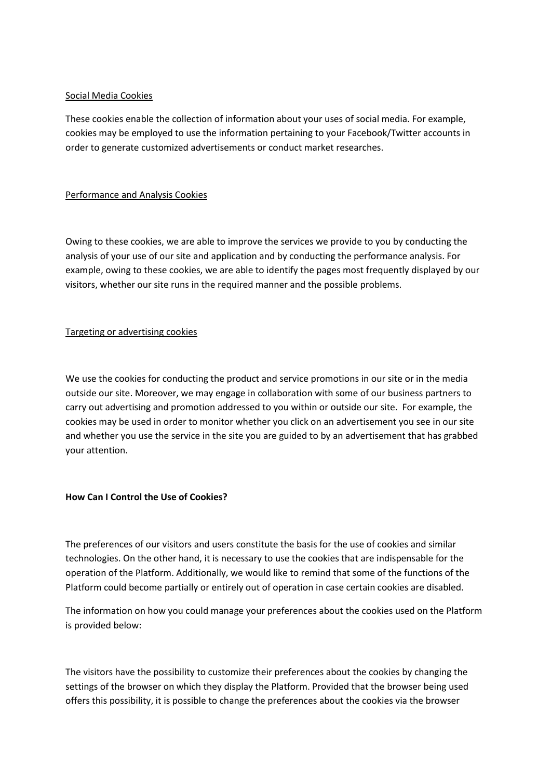## Social Media Cookies

These cookies enable the collection of information about your uses of social media. For example, cookies may be employed to use the information pertaining to your Facebook/Twitter accounts in order to generate customized advertisements or conduct market researches.

## Performance and Analysis Cookies

Owing to these cookies, we are able to improve the services we provide to you by conducting the analysis of your use of our site and application and by conducting the performance analysis. For example, owing to these cookies, we are able to identify the pages most frequently displayed by our visitors, whether our site runs in the required manner and the possible problems.

# Targeting or advertising cookies

We use the cookies for conducting the product and service promotions in our site or in the media outside our site. Moreover, we may engage in collaboration with some of our business partners to carry out advertising and promotion addressed to you within or outside our site. For example, the cookies may be used in order to monitor whether you click on an advertisement you see in our site and whether you use the service in the site you are guided to by an advertisement that has grabbed your attention.

# **How Can I Control the Use of Cookies?**

The preferences of our visitors and users constitute the basis for the use of cookies and similar technologies. On the other hand, it is necessary to use the cookies that are indispensable for the operation of the Platform. Additionally, we would like to remind that some of the functions of the Platform could become partially or entirely out of operation in case certain cookies are disabled.

The information on how you could manage your preferences about the cookies used on the Platform is provided below:

The visitors have the possibility to customize their preferences about the cookies by changing the settings of the browser on which they display the Platform. Provided that the browser being used offers this possibility, it is possible to change the preferences about the cookies via the browser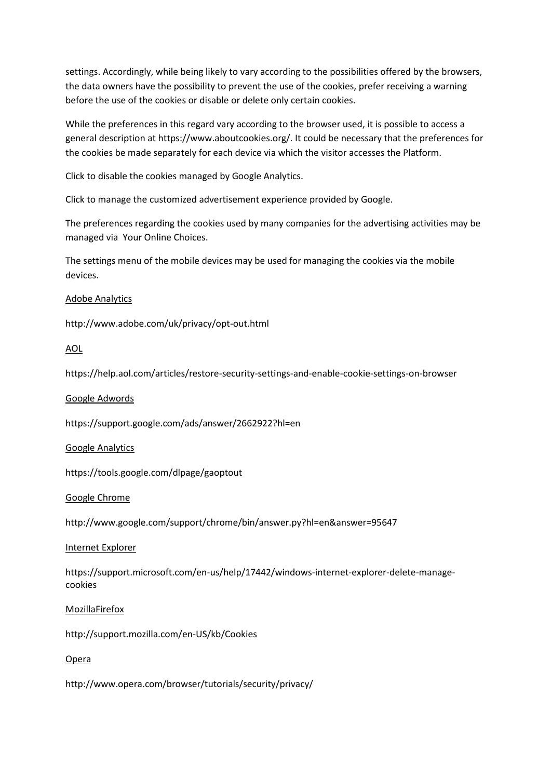settings. Accordingly, while being likely to vary according to the possibilities offered by the browsers, the data owners have the possibility to prevent the use of the cookies, prefer receiving a warning before the use of the cookies or disable or delete only certain cookies.

While the preferences in this regard vary according to the browser used, it is possible to access a general description at https://www.aboutcookies.org/. It could be necessary that the preferences for the cookies be made separately for each device via which the visitor accesses the Platform.

Click to disable the cookies managed by Google Analytics.

Click to manage the customized advertisement experience provided by Google.

The preferences regarding the cookies used by many companies for the advertising activities may be managed via  Your Online Choices.

The settings menu of the mobile devices may be used for managing the cookies via the mobile devices.

## Adobe Analytics

http://www.adobe.com/uk/privacy/opt-out.html

## AOL

https://help.aol.com/articles/restore-security-settings-and-enable-cookie-settings-on-browser

### Google Adwords

https://support.google.com/ads/answer/2662922?hl=en

### Google Analytics

https://tools.google.com/dlpage/gaoptout

### Google Chrome

http://www.google.com/support/chrome/bin/answer.py?hl=en&answer=95647

### Internet Explorer

https://support.microsoft.com/en-us/help/17442/windows-internet-explorer-delete-managecookies

### MozillaFirefox

http://support.mozilla.com/en-US/kb/Cookies

### Opera

http://www.opera.com/browser/tutorials/security/privacy/